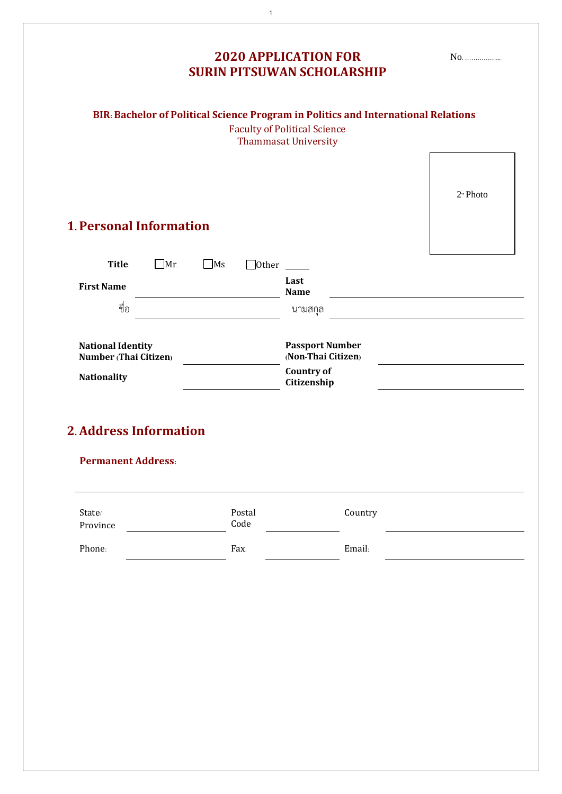| <b>SURIN PITSUWAN SCHOLARSHIP</b>                 |                |                                                                                                                                                          |                      |  |
|---------------------------------------------------|----------------|----------------------------------------------------------------------------------------------------------------------------------------------------------|----------------------|--|
|                                                   |                | BIR: Bachelor of Political Science Program in Politics and International Relations<br><b>Faculty of Political Science</b><br><b>Thammasat University</b> |                      |  |
| <b>1. Personal Information</b>                    |                |                                                                                                                                                          | 2 <sup>y</sup> Photo |  |
|                                                   |                |                                                                                                                                                          |                      |  |
| Title:<br>$\exists$ Mr.<br><b>First Name</b>      | $Ms$ .         | $\Box$ Other $\_\_$<br>Last<br><b>Name</b>                                                                                                               |                      |  |
| ชื่อ                                              |                | นามสกุล                                                                                                                                                  |                      |  |
| <b>National Identity</b><br>Number (Thai Citizen) |                | <b>Passport Number</b><br>(Non-Thai Citizen)                                                                                                             |                      |  |
| <b>Nationality</b>                                |                | <b>Country of</b><br>Citizenship                                                                                                                         |                      |  |
| <b>2. Address Information</b>                     |                |                                                                                                                                                          |                      |  |
| <b>Permanent Address:</b>                         |                |                                                                                                                                                          |                      |  |
| $State/$<br>Province                              | Postal<br>Code | Country                                                                                                                                                  |                      |  |
| Phone:                                            | Fax:           | Email:                                                                                                                                                   |                      |  |
|                                                   |                |                                                                                                                                                          |                      |  |

1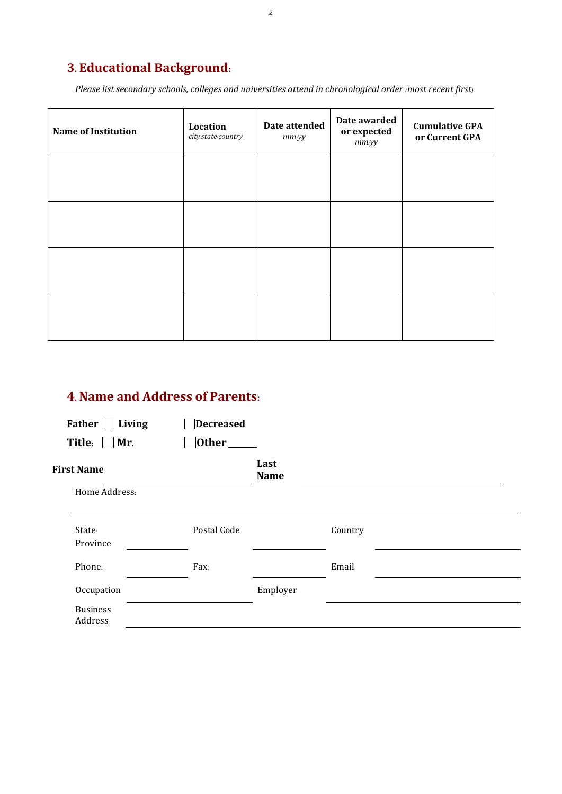## **3. Educational Background:**

*Please list secondary schools, colleges and universities attend in chronological order (most recent first)*

| <b>Name of Institution</b> | Location<br>city/state/country | Date attended<br>$mm$ yy | Date awarded<br>or expected<br>$mm$ <i>yy</i> | <b>Cumulative GPA</b><br>or Current GPA |
|----------------------------|--------------------------------|--------------------------|-----------------------------------------------|-----------------------------------------|
|                            |                                |                          |                                               |                                         |
|                            |                                |                          |                                               |                                         |
|                            |                                |                          |                                               |                                         |
|                            |                                |                          |                                               |                                         |

## **4.Name and Address of Parents:**

| Father  <br>Living           | Decreased   |                     |         |  |
|------------------------------|-------------|---------------------|---------|--|
| Title: $\Box$<br>$\vert$ Mr. | Other_      |                     |         |  |
| <b>First Name</b>            |             | Last<br><b>Name</b> |         |  |
| Home Address:                |             |                     |         |  |
| State/<br>Province           | Postal Code |                     | Country |  |
| Phone:                       | Fax:        |                     | Email:  |  |
| Occupation                   |             | Employer            |         |  |
| <b>Business</b><br>Address   |             |                     |         |  |